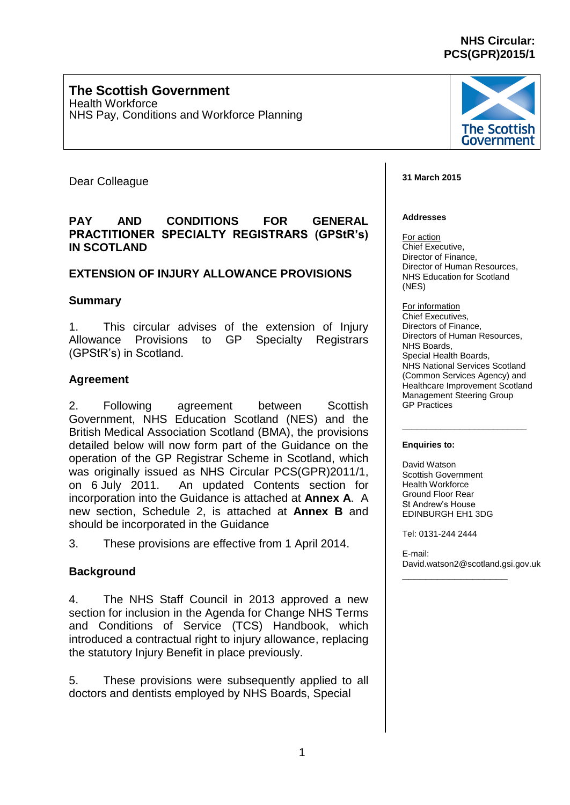# **NHS Circular: PCS(GPR)2015/1**

### **The Scottish Government** Health Workforce NHS Pay, Conditions and Workforce Planning



Dear Colleague

# **PAY AND CONDITIONS FOR GENERAL PRACTITIONER SPECIALTY REGISTRARS (GPStR's) IN SCOTLAND**

# **EXTENSION OF INJURY ALLOWANCE PROVISIONS**

# **Summary**

1. This circular advises of the extension of Injury Allowance Provisions to GP Specialty Registrars (GPStR's) in Scotland.

# **Agreement**

2. Following agreement between Scottish Government, NHS Education Scotland (NES) and the British Medical Association Scotland (BMA), the provisions detailed below will now form part of the Guidance on the operation of the GP Registrar Scheme in Scotland, which was originally issued as NHS Circular PCS(GPR)2011/1, on 6 July 2011. An updated Contents section for incorporation into the Guidance is attached at **Annex A**. A new section, Schedule 2, is attached at **Annex B** and should be incorporated in the Guidance

3. These provisions are effective from 1 April 2014.

# **Background**

4. The NHS Staff Council in 2013 approved a new section for inclusion in the Agenda for Change NHS Terms and Conditions of Service (TCS) Handbook, which introduced a contractual right to injury allowance, replacing the statutory Injury Benefit in place previously.

5. These provisions were subsequently applied to all doctors and dentists employed by NHS Boards, Special

#### **31 March 2015**

#### **Addresses**

For action Chief Executive, Director of Finance, Director of Human Resources, NHS Education for Scotland (NES)

For information Chief Executives, Directors of Finance, Directors of Human Resources, NHS Boards, Special Health Boards, NHS National Services Scotland (Common Services Agency) and Healthcare Improvement Scotland Management Steering Group GP Practices

\_\_\_\_\_\_\_\_\_\_\_\_\_\_\_\_\_\_\_\_\_\_\_\_\_\_

#### **Enquiries to:**

David Watson Scottish Government Health Workforce Ground Floor Rear St Andrew's House EDINBURGH EH1 3DG

Tel: 0131-244 2444

E-mail: [David.watson2@scotland.gsi.gov.uk](mailto:David.watson2@scotland.gsi.gov.uk)

\_\_\_\_\_\_\_\_\_\_\_\_\_\_\_\_\_\_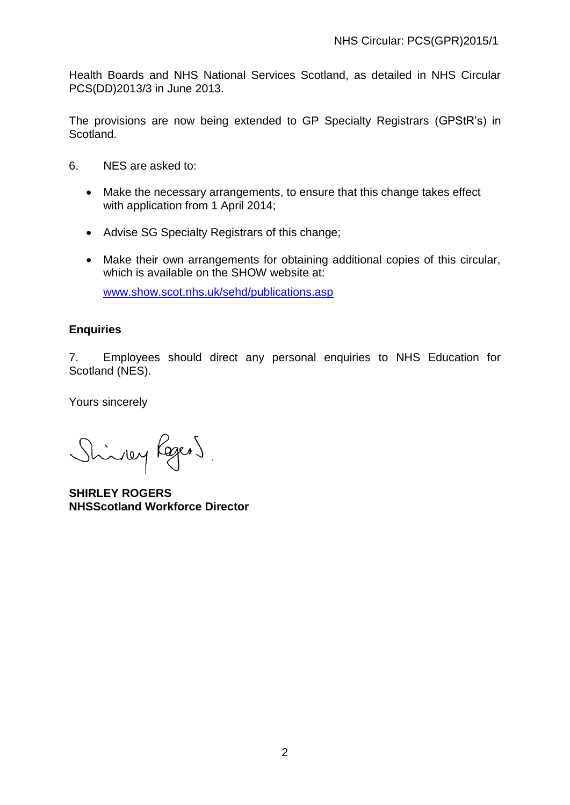Health Boards and NHS National Services Scotland, as detailed in NHS Circular PCS(DD)2013/3 in June 2013.

The provisions are now being extended to GP Specialty Registrars (GPStR's) in Scotland.

- 6. NES are asked to:
	- Make the necessary arrangements, to ensure that this change takes effect with application from 1 April 2014;
	- Advise SG Specialty Registrars of this change;
	- Make their own arrangements for obtaining additional copies of this circular, which is available on the SHOW website at:

[www.show.scot.nhs.uk/sehd/publications.asp](http://www.show.scot.nhs.uk/sehd/publications.asp)

# **Enquiries**

7. Employees should direct any personal enquiries to NHS Education for Scotland (NES).

Yours sincerely

Shindley Rogers

**SHIRLEY ROGERS NHSScotland Workforce Director**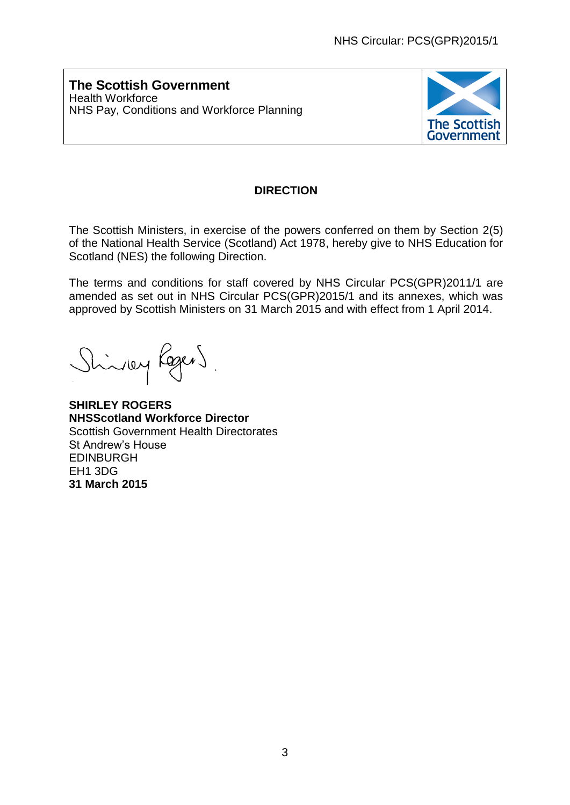**The Scottish Government** Health Workforce NHS Pay, Conditions and Workforce Planning



# **DIRECTION**

The Scottish Ministers, in exercise of the powers conferred on them by Section 2(5) of the National Health Service (Scotland) Act 1978, hereby give to NHS Education for Scotland (NES) the following Direction.

The terms and conditions for staff covered by NHS Circular PCS(GPR)2011/1 are amended as set out in NHS Circular PCS(GPR)2015/1 and its annexes, which was approved by Scottish Ministers on 31 March 2015 and with effect from 1 April 2014.

inley Regens

**SHIRLEY ROGERS NHSScotland Workforce Director** Scottish Government Health Directorates St Andrew's House EDINBURGH EH1 3DG **31 March 2015**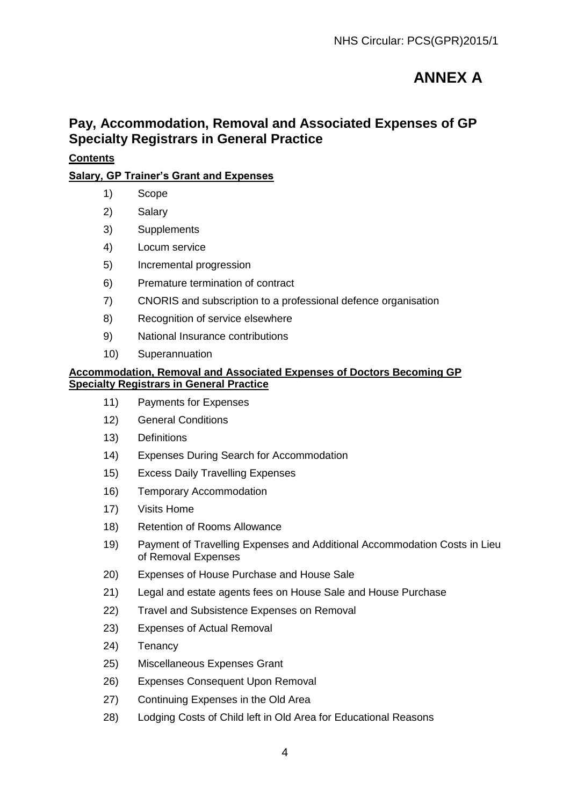# **ANNEX A**

# **Pay, Accommodation, Removal and Associated Expenses of GP Specialty Registrars in General Practice**

# **Contents**

# **Salary, GP Trainer's Grant and Expenses**

- 1) Scope
- 2) Salary
- 3) Supplements
- 4) Locum service
- 5) Incremental progression
- 6) Premature termination of contract
- 7) CNORIS and subscription to a professional defence organisation
- 8) Recognition of service elsewhere
- 9) National Insurance contributions
- 10) Superannuation

#### **Accommodation, Removal and Associated Expenses of Doctors Becoming GP Specialty Registrars in General Practice**

- 11) Payments for Expenses
- 12) General Conditions
- 13) Definitions
- 14) Expenses During Search for Accommodation
- 15) Excess Daily Travelling Expenses
- 16) Temporary Accommodation
- 17) Visits Home
- 18) Retention of Rooms Allowance
- 19) Payment of Travelling Expenses and Additional Accommodation Costs in Lieu of Removal Expenses
- 20) Expenses of House Purchase and House Sale
- 21) Legal and estate agents fees on House Sale and House Purchase
- 22) Travel and Subsistence Expenses on Removal
- 23) Expenses of Actual Removal
- 24) Tenancy
- 25) Miscellaneous Expenses Grant
- 26) Expenses Consequent Upon Removal
- 27) Continuing Expenses in the Old Area
- 28) Lodging Costs of Child left in Old Area for Educational Reasons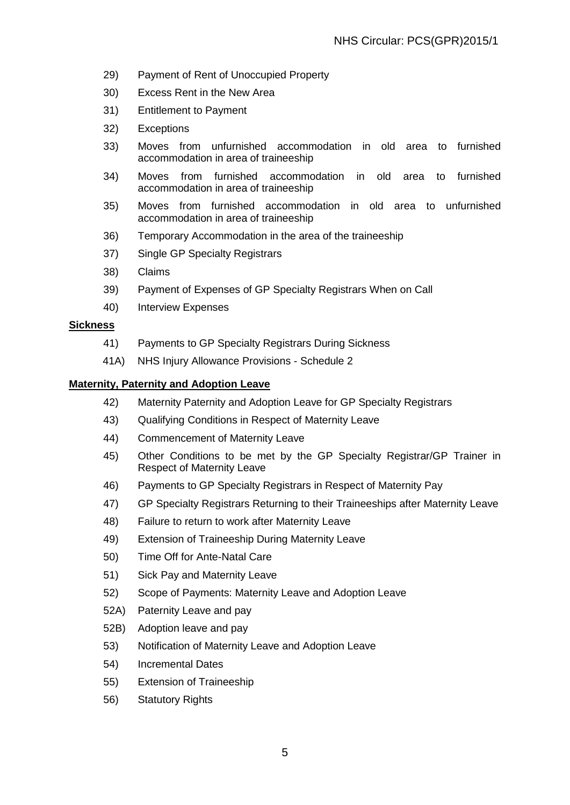- 29) Payment of Rent of Unoccupied Property
- 30) Excess Rent in the New Area
- 31) Entitlement to Payment
- 32) Exceptions
- 33) Moves from unfurnished accommodation in old area to furnished accommodation in area of traineeship
- 34) Moves from furnished accommodation in old area to furnished accommodation in area of traineeship
- 35) Moves from furnished accommodation in old area to unfurnished accommodation in area of traineeship
- 36) Temporary Accommodation in the area of the traineeship
- 37) Single GP Specialty Registrars
- 38) Claims
- 39) Payment of Expenses of GP Specialty Registrars When on Call
- 40) Interview Expenses

#### **Sickness**

- 41) Payments to GP Specialty Registrars During Sickness
- 41A) NHS Injury Allowance Provisions Schedule 2

#### **Maternity, Paternity and Adoption Leave**

- 42) Maternity Paternity and Adoption Leave for GP Specialty Registrars
- 43) Qualifying Conditions in Respect of Maternity Leave
- 44) Commencement of Maternity Leave
- 45) Other Conditions to be met by the GP Specialty Registrar/GP Trainer in Respect of Maternity Leave
- 46) Payments to GP Specialty Registrars in Respect of Maternity Pay
- 47) GP Specialty Registrars Returning to their Traineeships after Maternity Leave
- 48) Failure to return to work after Maternity Leave
- 49) Extension of Traineeship During Maternity Leave
- 50) Time Off for Ante-Natal Care
- 51) Sick Pay and Maternity Leave
- 52) Scope of Payments: Maternity Leave and Adoption Leave
- 52A) Paternity Leave and pay
- 52B) Adoption leave and pay
- 53) Notification of Maternity Leave and Adoption Leave
- 54) Incremental Dates
- 55) Extension of Traineeship
- 56) Statutory Rights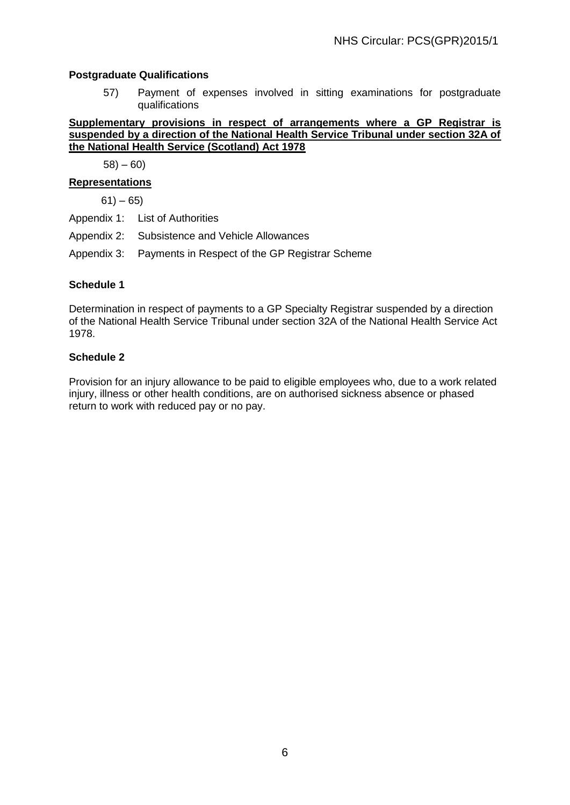### **Postgraduate Qualifications**

57) Payment of expenses involved in sitting examinations for postgraduate qualifications

**Supplementary provisions in respect of arrangements where a GP Registrar is suspended by a direction of the National Health Service Tribunal under section 32A of the National Health Service (Scotland) Act 1978** 

 $58$ ) – 60)

# **Representations**

 $61) - 65$ 

- Appendix 1: List of Authorities
- Appendix 2: Subsistence and Vehicle Allowances
- Appendix 3: Payments in Respect of the GP Registrar Scheme

#### **Schedule 1**

Determination in respect of payments to a GP Specialty Registrar suspended by a direction of the National Health Service Tribunal under section 32A of the National Health Service Act 1978.

#### **Schedule 2**

Provision for an injury allowance to be paid to eligible employees who, due to a work related injury, illness or other health conditions, are on authorised sickness absence or phased return to work with reduced pay or no pay.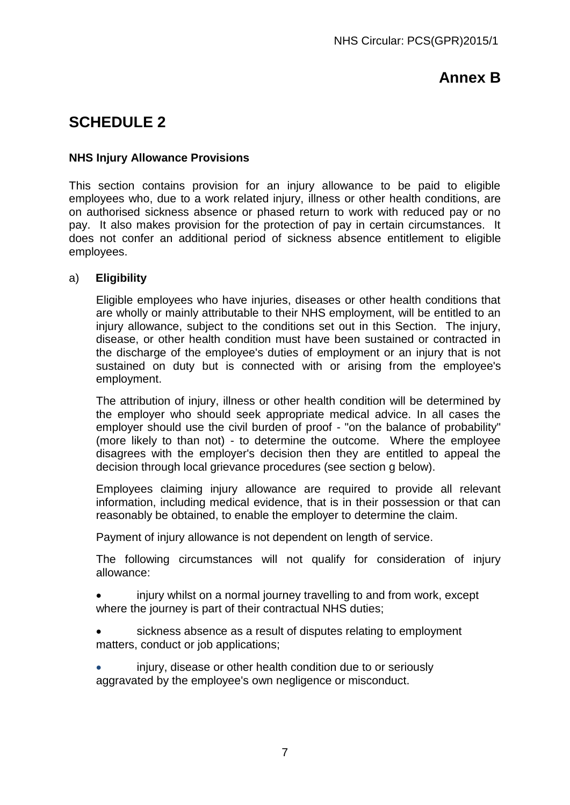# **Annex B**

# **SCHEDULE 2**

# **NHS Injury Allowance Provisions**

This section contains provision for an injury allowance to be paid to eligible employees who, due to a work related injury, illness or other health conditions, are on authorised sickness absence or phased return to work with reduced pay or no pay. It also makes provision for the protection of pay in certain circumstances. It does not confer an additional period of sickness absence entitlement to eligible employees.

# a) **Eligibility**

Eligible employees who have injuries, diseases or other health conditions that are wholly or mainly attributable to their NHS employment, will be entitled to an injury allowance, subject to the conditions set out in this Section. The injury, disease, or other health condition must have been sustained or contracted in the discharge of the employee's duties of employment or an injury that is not sustained on duty but is connected with or arising from the employee's employment.

The attribution of injury, illness or other health condition will be determined by the employer who should seek appropriate medical advice. In all cases the employer should use the civil burden of proof - "on the balance of probability" (more likely to than not) - to determine the outcome. Where the employee disagrees with the employer's decision then they are entitled to appeal the decision through local grievance procedures (see section g below).

Employees claiming injury allowance are required to provide all relevant information, including medical evidence, that is in their possession or that can reasonably be obtained, to enable the employer to determine the claim.

Payment of injury allowance is not dependent on length of service.

The following circumstances will not qualify for consideration of injury allowance:

 injury whilst on a normal journey travelling to and from work, except where the journey is part of their contractual NHS duties;

 sickness absence as a result of disputes relating to employment matters, conduct or job applications;

 injury, disease or other health condition due to or seriously aggravated by the employee's own negligence or misconduct.